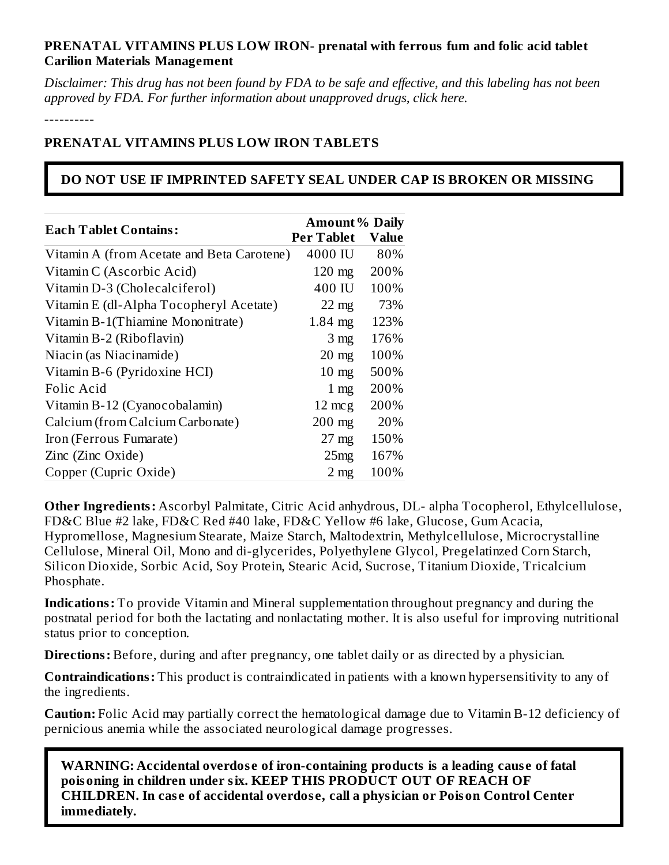## **PRENATAL VITAMINS PLUS LOW IRON- prenatal with ferrous fum and folic acid tablet Carilion Materials Management**

Disclaimer: This drug has not been found by FDA to be safe and effective, and this labeling has not been *approved by FDA. For further information about unapproved drugs, click here.*

----------

## **PRENATAL VITAMINS PLUS LOW IRON TABLETS**

# **DO NOT USE IF IMPRINTED SAFETY SEAL UNDER CAP IS BROKEN OR MISSING**

|                                            | <b>Amount % Daily</b> |              |  |
|--------------------------------------------|-----------------------|--------------|--|
| <b>Each Tablet Contains:</b>               | <b>Per Tablet</b>     | <b>Value</b> |  |
| Vitamin A (from Acetate and Beta Carotene) | 4000 IU               | 80%          |  |
| Vitamin C (Ascorbic Acid)                  | $120 \text{ mg}$      | 200%         |  |
| Vitamin D-3 (Cholecalciferol)              | 400 IU                | 100%         |  |
| Vitamin E (dl-Alpha Tocopheryl Acetate)    | $22 \text{ mg}$       | 73%          |  |
| Vitamin B-1(Thiamine Mononitrate)          | $1.84$ mg             | 123%         |  |
| Vitamin B-2 (Riboflavin)                   | 3 <sub>mg</sub>       | 176%         |  |
| Niacin (as Niacinamide)                    | $20 \text{ mg}$       | 100%         |  |
| Vitamin B-6 (Pyridoxine HCI)               | $10 \text{ mg}$       | 500%         |  |
| Folic Acid                                 | $1 \text{ mg}$        | 200%         |  |
| Vitamin B-12 (Cyanocobalamin)              | $12 \text{ mcg}$      | 200%         |  |
| Calcium (from Calcium Carbonate)           | $200$ mg              | 20%          |  |
| Iron (Ferrous Fumarate)                    | $27 \text{ mg}$       | 150%         |  |
| Zinc (Zinc Oxide)                          | 25mg                  | 167%         |  |
| Copper (Cupric Oxide)                      | 2 <sub>mg</sub>       | 100%         |  |

**Other Ingredients:** Ascorbyl Palmitate, Citric Acid anhydrous, DL- alpha Tocopherol, Ethylcellulose, FD&C Blue #2 lake, FD&C Red #40 lake, FD&C Yellow #6 lake, Glucose, Gum Acacia, Hypromellose, Magnesium Stearate, Maize Starch, Maltodextrin, Methylcellulose, Microcrystalline Cellulose, Mineral Oil, Mono and di-glycerides, Polyethylene Glycol, Pregelatinzed Corn Starch, Silicon Dioxide, Sorbic Acid, Soy Protein, Stearic Acid, Sucrose, Titanium Dioxide, Tricalcium Phosphate.

**Indications:** To provide Vitamin and Mineral supplementation throughout pregnancy and during the postnatal period for both the lactating and nonlactating mother. It is also useful for improving nutritional status prior to conception.

**Directions:** Before, during and after pregnancy, one tablet daily or as directed by a physician.

**Contraindications:** This product is contraindicated in patients with a known hypersensitivity to any of the ingredients.

**Caution:** Folic Acid may partially correct the hematological damage due to Vitamin B-12 deficiency of pernicious anemia while the associated neurological damage progresses.

**WARNING: Accidental overdos e of iron-containing products is a leading caus e of fatal poisoning in children under six. KEEP THIS PRODUCT OUT OF REACH OF CHILDREN. In cas e of accidental overdos e, call a physician or Poison Control Center immediately.**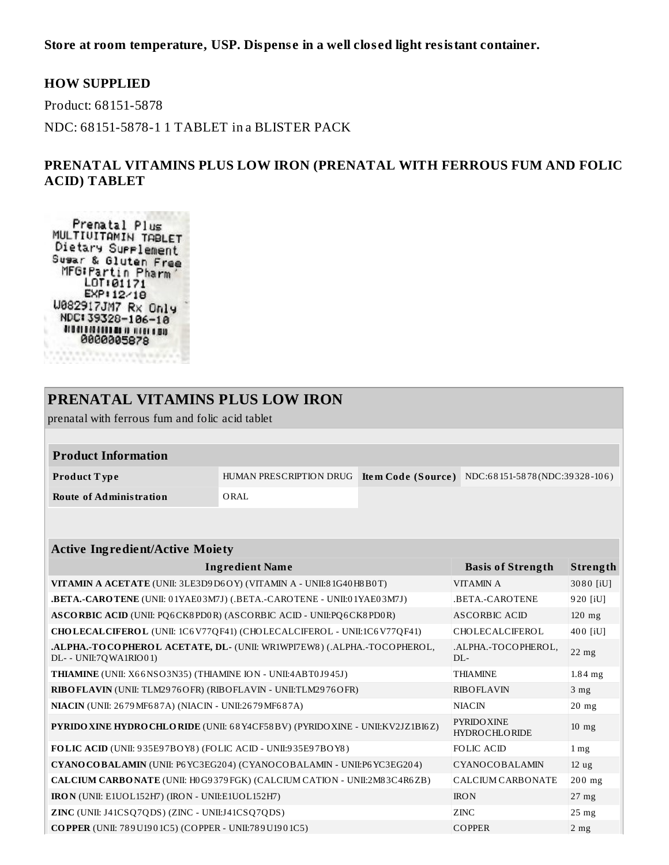**Store at room temperature, USP. Dispens e in a well clos ed light resistant container.**

#### **HOW SUPPLIED**

Product: 68151-5878

NDC: 68151-5878-1 1 TABLET in a BLISTER PACK

### **PRENATAL VITAMINS PLUS LOW IRON (PRENATAL WITH FERROUS FUM AND FOLIC ACID) TABLET**

Prenatal Plus<br>MULTIUITAMIN TABLET Dietary Surrlement Susar & Gluten Free MFG: Partin Pharm<br>LOT: 01171 EXP112/10 U082917JM7 Rx Only NDC: 39328-106-10 *<u>MANUHINAL AND AND</u>* 0000005878

**\*\*\*\*** 

## **PRENATAL VITAMINS PLUS LOW IRON**

prenatal with ferrous fum and folic acid tablet

| <b>Product Information</b> |      |                                                                          |
|----------------------------|------|--------------------------------------------------------------------------|
| Product Type               |      | HUMAN PRESCRIPTION DRUG Item Code (Source) NDC:68151-5878(NDC:39328-106) |
| Route of Administration    | ORAL |                                                                          |

#### **Active Ingredient/Active Moiety**

| <b>Ingredient Name</b>                                                                            | <b>Basis of Strength</b>                   | Strength          |
|---------------------------------------------------------------------------------------------------|--------------------------------------------|-------------------|
| VITAMIN A ACETATE (UNII: 3LE3D9 D6OY) (VITAMIN A - UNII:8 1G40 H8 B0T)                            | <b>VITAMINA</b>                            | 3080 [iU]         |
| <b>.BETA.-CAROTENE</b> (UNII: 01YAE03M7J) (.BETA.-CAROTENE - UNII:01YAE03M7J)                     | .BETA.-CAROTENE                            | 920 [iU]          |
| ASCORBIC ACID (UNII: PQ6CK8PD0R) (ASCORBIC ACID - UNII:PQ6CK8PD0R)                                | ASCORBIC ACID                              | $120$ mg          |
| CHOLECALCIFEROL (UNII: 1C6V77QF41) (CHOLECALCIFEROL - UNII:1C6V77QF41)                            | CHOLECALCIFEROL                            | 400 [iU]          |
| .ALPHA.-TOCOPHEROL ACETATE, DL- (UNII: WR1WPI7EW8) (.ALPHA.-TOCOPHEROL,<br>DL- - UNII:7QWA1RIO01) | .ALPHA.-TOCOPHEROL,<br>$DI -$              | $22$ mg           |
| <b>THIAMINE</b> (UNII: X66NSO3N35) (THIAMINE ION - UNII:4ABT0J945J)                               | <b>THIAMINE</b>                            | $1.84$ mg         |
| RIBO FLAVIN (UNII: TLM2976OFR) (RIBO FLAVIN - UNII: TLM2976OFR)                                   | <b>RIBOFLAVIN</b>                          | 3 <sub>mg</sub>   |
| NIACIN (UNII: 2679 MF687A) (NIACIN - UNII:2679 MF687A)                                            | <b>NIACIN</b>                              | $20$ mg           |
| PYRIDO XINE HYDRO CHLO RIDE (UNII: 68Y4CF58BV) (PYRIDO XINE - UNII: KV2JZ1BI6Z)                   | <b>PYRIDO XINE</b><br><b>HYDROCHLORIDE</b> | $10$ mg           |
| FOLIC ACID (UNII: 935E97BOY8) (FOLIC ACID - UNII:935E97BOY8)                                      | <b>FOLIC ACID</b>                          | $1 \,\mathrm{mg}$ |
| CYANO COBALAMIN (UNII: P6 YC3EG204) (CYANOCOBALAMIN - UNII:P6 YC3EG204)                           | CYANOCOBALAMIN                             | 12 <sub>ug</sub>  |
| CALCIUM CARBONATE (UNII: H0G9379FGK) (CALCIUM CATION - UNII:2M83C4R6ZB)                           | <b>CALCIUM CARBONATE</b>                   | $200$ mg          |
| IRON (UNII: E1UOL152H7) (IRON - UNII:E1UOL152H7)                                                  | <b>IRON</b>                                | $27 \text{ mg}$   |
| ZINC (UNII: J41CSQ7QDS) (ZINC - UNII:J41CSQ7QDS)                                                  | ZINC                                       | $25$ mg           |
| <b>COPPER</b> (UNII: 789U1901C5) (COPPER - UNII:789U1901C5)                                       | <b>COPPER</b>                              | $2$ mg            |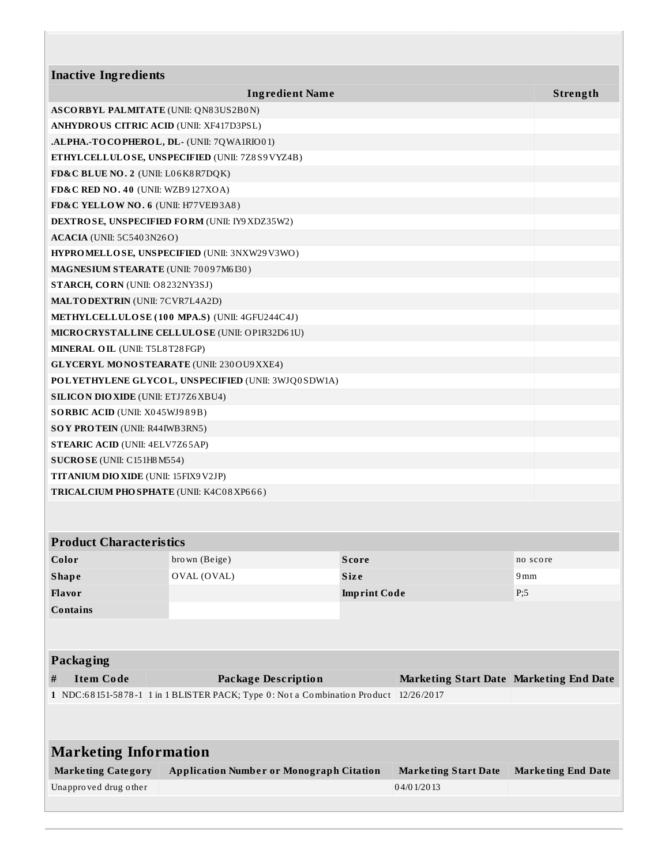| <b>Inactive Ingredients</b>                       |                                                                                      |                     |                                         |                           |
|---------------------------------------------------|--------------------------------------------------------------------------------------|---------------------|-----------------------------------------|---------------------------|
|                                                   | <b>Ingredient Name</b>                                                               |                     |                                         | Strength                  |
| <b>ASCORBYL PALMITATE (UNII: QN83US2B0N)</b>      |                                                                                      |                     |                                         |                           |
| <b>ANHYDROUS CITRIC ACID (UNII: XF417D3PSL)</b>   |                                                                                      |                     |                                         |                           |
| .ALPHA.-TOCOPHEROL, DL- (UNII: 7QWA1RIO01)        |                                                                                      |                     |                                         |                           |
|                                                   | ETHYLCELLULOSE, UNSPECIFIED (UNII: 7Z8S9VYZ4B)                                       |                     |                                         |                           |
| FD&C BLUE NO. 2 (UNII: L06K8R7DQK)                |                                                                                      |                     |                                         |                           |
| FD&C RED NO. 40 (UNII: WZB9127XOA)                |                                                                                      |                     |                                         |                           |
| FD&C YELLOW NO. 6 (UNII: H77VEI93A8)              |                                                                                      |                     |                                         |                           |
|                                                   | <b>DEXTROSE, UNSPECIFIED FORM (UNII: IY9 XDZ35W2)</b>                                |                     |                                         |                           |
| <b>ACACIA</b> (UNII: 5C5403N26O)                  |                                                                                      |                     |                                         |                           |
|                                                   | HYPROMELLOSE, UNSPECIFIED (UNII: 3NXW29V3WO)                                         |                     |                                         |                           |
| MAGNESIUM STEARATE (UNII: 70097M6I30)             |                                                                                      |                     |                                         |                           |
| STARCH, CORN (UNII: O8232NY3SJ)                   |                                                                                      |                     |                                         |                           |
| <b>MALTODEXTRIN</b> (UNII: 7CVR7L4A2D)            |                                                                                      |                     |                                         |                           |
|                                                   | METHYLCELLULOSE (100 MPA.S) (UNII: 4GFU244C4J)                                       |                     |                                         |                           |
|                                                   | <b>MICRO CRYSTALLINE CELLULO SE (UNII: OP1R32D61U)</b>                               |                     |                                         |                           |
| <b>MINERAL OIL (UNII: T5L8T28FGP)</b>             |                                                                                      |                     |                                         |                           |
| <b>GLYCERYL MONOSTEARATE (UNII: 230 OU9 XXE4)</b> |                                                                                      |                     |                                         |                           |
|                                                   | POLYETHYLENE GLYCOL, UNSPECIFIED (UNII: 3WJQ0SDW1A)                                  |                     |                                         |                           |
| <b>SILICON DIO XIDE (UNII: ETJ7Z6 XBU4)</b>       |                                                                                      |                     |                                         |                           |
| SORBIC ACID (UNII: X045WJ989B)                    |                                                                                      |                     |                                         |                           |
| SOY PROTEIN (UNII: R44IWB3RN5)                    |                                                                                      |                     |                                         |                           |
| <b>STEARIC ACID (UNII: 4ELV7Z65AP)</b>            |                                                                                      |                     |                                         |                           |
| SUCROSE (UNII: C151H8M554)                        |                                                                                      |                     |                                         |                           |
| TITANIUM DIO XIDE (UNII: 15FIX9V2JP)              |                                                                                      |                     |                                         |                           |
| TRICAL CIUM PHO SPHATE (UNII: K4C08XP666)         |                                                                                      |                     |                                         |                           |
|                                                   |                                                                                      |                     |                                         |                           |
| <b>Product Characteristics</b>                    |                                                                                      |                     |                                         |                           |
| Color                                             | brown (Beige)                                                                        | <b>Score</b>        |                                         | no score                  |
| <b>Shape</b>                                      | OVAL (OVAL)                                                                          | Size                |                                         | 9mm                       |
| Flavor                                            |                                                                                      | <b>Imprint Code</b> |                                         | P;5                       |
| <b>Contains</b>                                   |                                                                                      |                     |                                         |                           |
|                                                   |                                                                                      |                     |                                         |                           |
| Packaging                                         |                                                                                      |                     |                                         |                           |
| <b>Item Code</b><br>#                             | <b>Package Description</b>                                                           |                     | Marketing Start Date Marketing End Date |                           |
|                                                   | 1 NDC:68151-5878-1 1 in 1 BLISTER PACK; Type 0: Not a Combination Product 12/26/2017 |                     |                                         |                           |
|                                                   |                                                                                      |                     |                                         |                           |
| <b>Marketing Information</b>                      |                                                                                      |                     |                                         |                           |
| <b>Marketing Category</b>                         | <b>Application Number or Monograph Citation</b>                                      |                     | <b>Marketing Start Date</b>             | <b>Marketing End Date</b> |

Unappro ved drug o ther  $04/01/2013$